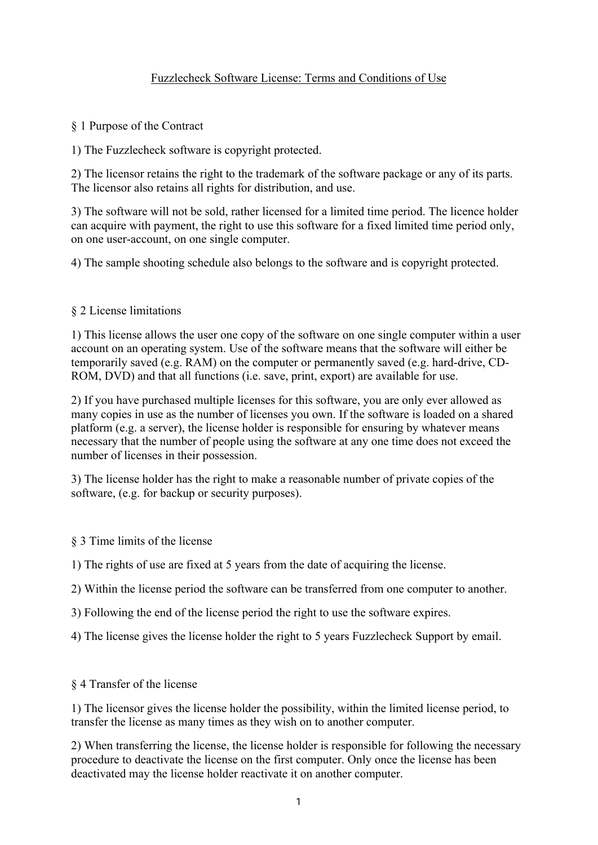# Fuzzlecheck Software License: Terms and Conditions of Use

§ 1 Purpose of the Contract

1) The Fuzzlecheck software is copyright protected.

2) The licensor retains the right to the trademark of the software package or any of its parts. The licensor also retains all rights for distribution, and use.

3) The software will not be sold, rather licensed for a limited time period. The licence holder can acquire with payment, the right to use this software for a fixed limited time period only, on one user-account, on one single computer.

4) The sample shooting schedule also belongs to the software and is copyright protected.

### § 2 License limitations

1) This license allows the user one copy of the software on one single computer within a user account on an operating system. Use of the software means that the software will either be temporarily saved (e.g. RAM) on the computer or permanently saved (e.g. hard-drive, CD-ROM, DVD) and that all functions (i.e. save, print, export) are available for use.

2) If you have purchased multiple licenses for this software, you are only ever allowed as many copies in use as the number of licenses you own. If the software is loaded on a shared platform (e.g. a server), the license holder is responsible for ensuring by whatever means necessary that the number of people using the software at any one time does not exceed the number of licenses in their possession.

3) The license holder has the right to make a reasonable number of private copies of the software, (e.g. for backup or security purposes).

- § 3 Time limits of the license
- 1) The rights of use are fixed at 5 years from the date of acquiring the license.
- 2) Within the license period the software can be transferred from one computer to another.
- 3) Following the end of the license period the right to use the software expires.
- 4) The license gives the license holder the right to 5 years Fuzzlecheck Support by email.
- § 4 Transfer of the license

1) The licensor gives the license holder the possibility, within the limited license period, to transfer the license as many times as they wish on to another computer.

2) When transferring the license, the license holder is responsible for following the necessary procedure to deactivate the license on the first computer. Only once the license has been deactivated may the license holder reactivate it on another computer.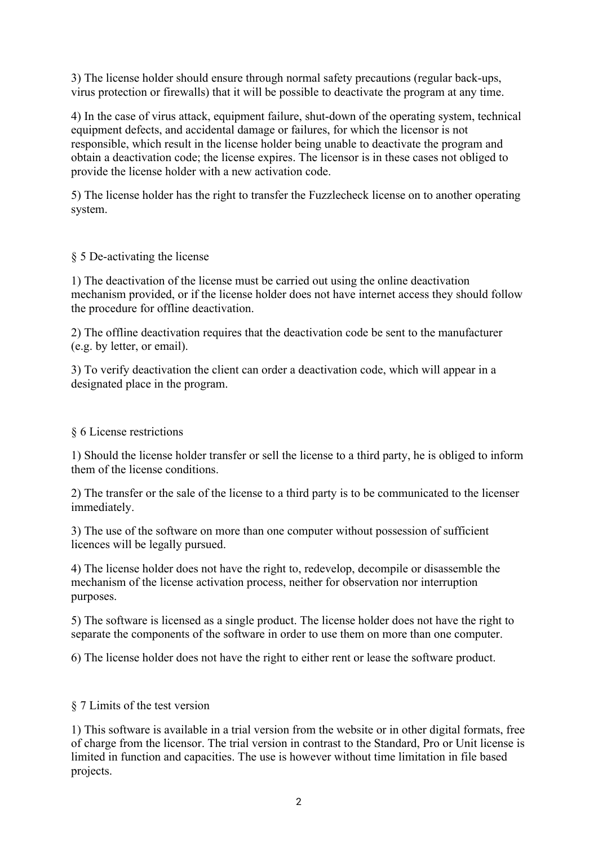3) The license holder should ensure through normal safety precautions (regular back-ups, virus protection or firewalls) that it will be possible to deactivate the program at any time.

4) In the case of virus attack, equipment failure, shut-down of the operating system, technical equipment defects, and accidental damage or failures, for which the licensor is not responsible, which result in the license holder being unable to deactivate the program and obtain a deactivation code; the license expires. The licensor is in these cases not obliged to provide the license holder with a new activation code.

5) The license holder has the right to transfer the Fuzzlecheck license on to another operating system.

## § 5 De-activating the license

1) The deactivation of the license must be carried out using the online deactivation mechanism provided, or if the license holder does not have internet access they should follow the procedure for offline deactivation.

2) The offline deactivation requires that the deactivation code be sent to the manufacturer (e.g. by letter, or email).

3) To verify deactivation the client can order a deactivation code, which will appear in a designated place in the program.

## § 6 License restrictions

1) Should the license holder transfer or sell the license to a third party, he is obliged to inform them of the license conditions.

2) The transfer or the sale of the license to a third party is to be communicated to the licenser immediately.

3) The use of the software on more than one computer without possession of sufficient licences will be legally pursued.

4) The license holder does not have the right to, redevelop, decompile or disassemble the mechanism of the license activation process, neither for observation nor interruption purposes.

5) The software is licensed as a single product. The license holder does not have the right to separate the components of the software in order to use them on more than one computer.

6) The license holder does not have the right to either rent or lease the software product.

#### § 7 Limits of the test version

1) This software is available in a trial version from the website or in other digital formats, free of charge from the licensor. The trial version in contrast to the Standard, Pro or Unit license is limited in function and capacities. The use is however without time limitation in file based projects.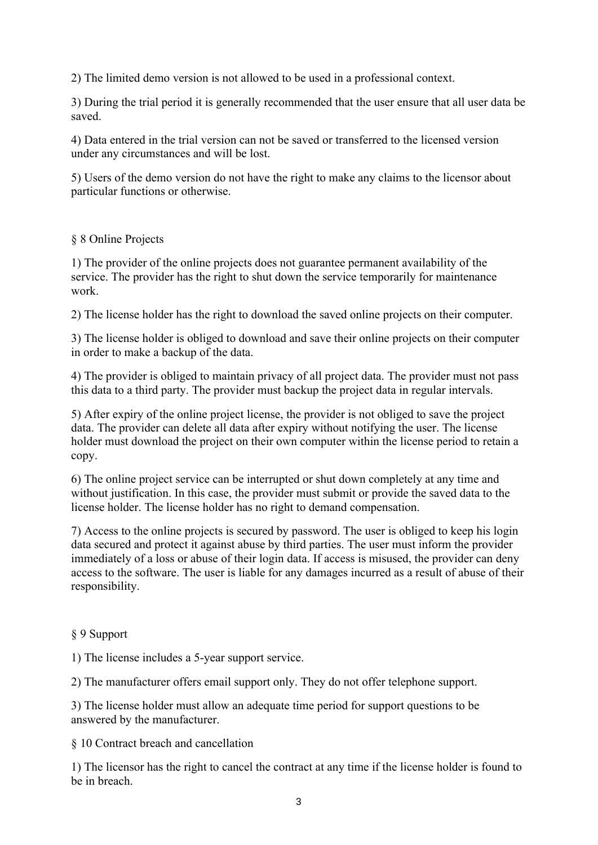2) The limited demo version is not allowed to be used in a professional context.

3) During the trial period it is generally recommended that the user ensure that all user data be saved.

4) Data entered in the trial version can not be saved or transferred to the licensed version under any circumstances and will be lost.

5) Users of the demo version do not have the right to make any claims to the licensor about particular functions or otherwise.

## § 8 Online Projects

1) The provider of the online projects does not guarantee permanent availability of the service. The provider has the right to shut down the service temporarily for maintenance work.

2) The license holder has the right to download the saved online projects on their computer.

3) The license holder is obliged to download and save their online projects on their computer in order to make a backup of the data.

4) The provider is obliged to maintain privacy of all project data. The provider must not pass this data to a third party. The provider must backup the project data in regular intervals.

5) After expiry of the online project license, the provider is not obliged to save the project data. The provider can delete all data after expiry without notifying the user. The license holder must download the project on their own computer within the license period to retain a copy.

6) The online project service can be interrupted or shut down completely at any time and without justification. In this case, the provider must submit or provide the saved data to the license holder. The license holder has no right to demand compensation.

7) Access to the online projects is secured by password. The user is obliged to keep his login data secured and protect it against abuse by third parties. The user must inform the provider immediately of a loss or abuse of their login data. If access is misused, the provider can deny access to the software. The user is liable for any damages incurred as a result of abuse of their responsibility.

## § 9 Support

1) The license includes a 5-year support service.

2) The manufacturer offers email support only. They do not offer telephone support.

3) The license holder must allow an adequate time period for support questions to be answered by the manufacturer.

§ 10 Contract breach and cancellation

1) The licensor has the right to cancel the contract at any time if the license holder is found to be in breach.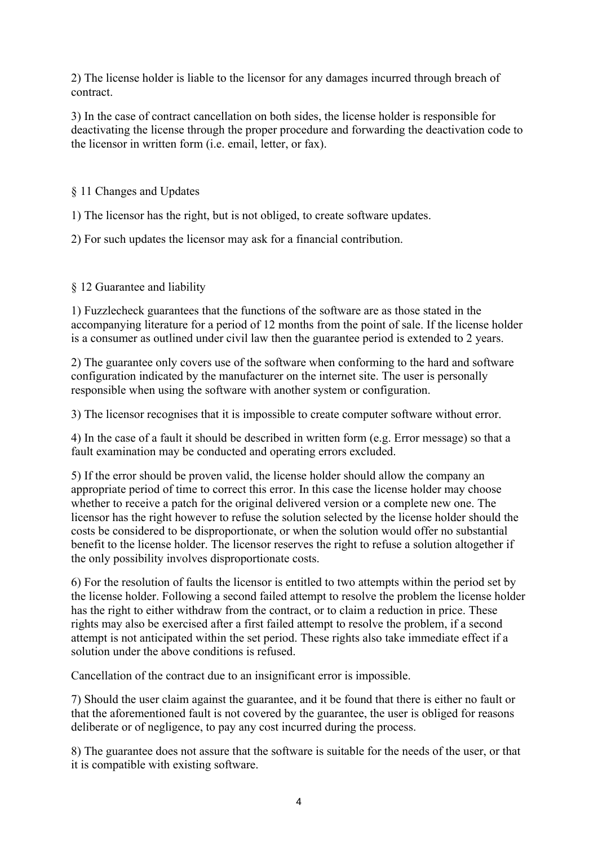2) The license holder is liable to the licensor for any damages incurred through breach of contract.

3) In the case of contract cancellation on both sides, the license holder is responsible for deactivating the license through the proper procedure and forwarding the deactivation code to the licensor in written form (i.e. email, letter, or fax).

§ 11 Changes and Updates

1) The licensor has the right, but is not obliged, to create software updates.

2) For such updates the licensor may ask for a financial contribution.

# § 12 Guarantee and liability

1) Fuzzlecheck guarantees that the functions of the software are as those stated in the accompanying literature for a period of 12 months from the point of sale. If the license holder is a consumer as outlined under civil law then the guarantee period is extended to 2 years.

2) The guarantee only covers use of the software when conforming to the hard and software configuration indicated by the manufacturer on the internet site. The user is personally responsible when using the software with another system or configuration.

3) The licensor recognises that it is impossible to create computer software without error.

4) In the case of a fault it should be described in written form (e.g. Error message) so that a fault examination may be conducted and operating errors excluded.

5) If the error should be proven valid, the license holder should allow the company an appropriate period of time to correct this error. In this case the license holder may choose whether to receive a patch for the original delivered version or a complete new one. The licensor has the right however to refuse the solution selected by the license holder should the costs be considered to be disproportionate, or when the solution would offer no substantial benefit to the license holder. The licensor reserves the right to refuse a solution altogether if the only possibility involves disproportionate costs.

6) For the resolution of faults the licensor is entitled to two attempts within the period set by the license holder. Following a second failed attempt to resolve the problem the license holder has the right to either withdraw from the contract, or to claim a reduction in price. These rights may also be exercised after a first failed attempt to resolve the problem, if a second attempt is not anticipated within the set period. These rights also take immediate effect if a solution under the above conditions is refused.

Cancellation of the contract due to an insignificant error is impossible.

7) Should the user claim against the guarantee, and it be found that there is either no fault or that the aforementioned fault is not covered by the guarantee, the user is obliged for reasons deliberate or of negligence, to pay any cost incurred during the process.

8) The guarantee does not assure that the software is suitable for the needs of the user, or that it is compatible with existing software.